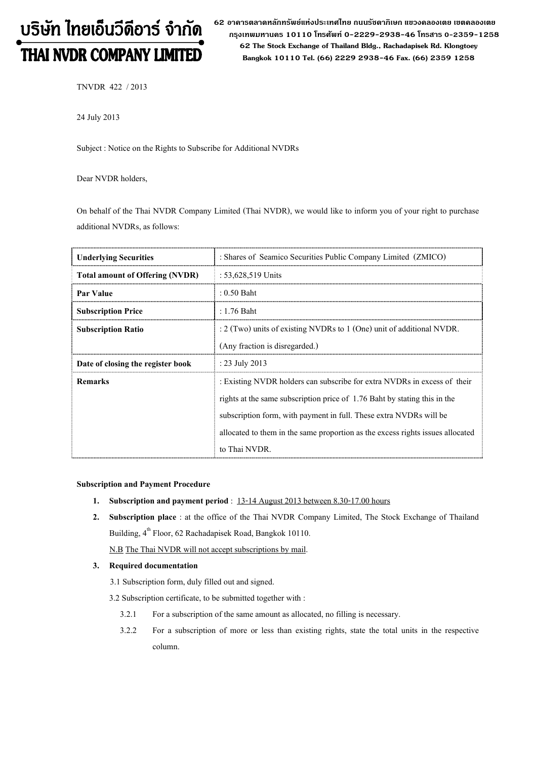# บริษัท ไทยเอ็นวีดีอาร์ จำกัด THAI NVDR COMPANY LIMITED

62 อาดารตลาดหลักทรัพย์แห่งประเทศไทย ถนนรัซดาภิเษก แขวงดลองเตย เขตดลองเตย  **ก"# 10110 & 0-2229-2938-46 &, 0-2359-1258 62 The Stock Exchange of Thailand Bldg., Rachadapisek Rd. Klongtoey Bangkok 10110 Tel. (66) 2229 2938-46 Fax. (66) 2359 1258**

TNVDR 422 / 2013

24 July 2013

Subject : Notice on the Rights to Subscribe for Additional NVDRs

Dear NVDR holders,

On behalf of the Thai NVDR Company Limited (Thai NVDR), we would like to inform you of your right to purchase additional NVDRs, as follows:

| <b>Underlying Securities</b>           | : Shares of Seamico Securities Public Company Limited (ZMICO)                  |  |  |
|----------------------------------------|--------------------------------------------------------------------------------|--|--|
| <b>Total amount of Offering (NVDR)</b> | : 53,628,519 Units                                                             |  |  |
| Par Value                              | $: 0.50$ Baht                                                                  |  |  |
| <b>Subscription Price</b>              | $: 1.76$ Baht                                                                  |  |  |
| <b>Subscription Ratio</b>              | $: 2$ (Two) units of existing NVDRs to 1 (One) unit of additional NVDR.        |  |  |
|                                        | (Any fraction is disregarded.)                                                 |  |  |
| Date of closing the register book      | $: 23$ July 2013                                                               |  |  |
| <b>Remarks</b>                         | : Existing NVDR holders can subscribe for extra NVDRs in excess of their       |  |  |
|                                        | rights at the same subscription price of 1.76 Baht by stating this in the      |  |  |
|                                        | subscription form, with payment in full. These extra NVDRs will be             |  |  |
|                                        | allocated to them in the same proportion as the excess rights issues allocated |  |  |
|                                        | to Thai NVDR.                                                                  |  |  |

#### **Subscription and Payment Procedure**

- **1. Subscription and payment period** : 13-14 August 2013 between 8.30-17.00 hours
- **2. Subscription place** : at the office of the Thai NVDR Company Limited, The Stock Exchange of Thailand Building, 4<sup>th</sup> Floor, 62 Rachadapisek Road, Bangkok 10110.

N.B The Thai NVDR will not accept subscriptions by mail.

#### **3. Required documentation**

- 3.1 Subscription form, duly filled out and signed.
- 3.2 Subscription certificate, to be submitted together with :
	- 3.2.1 For a subscription of the same amount as allocated, no filling is necessary.
	- 3.2.2 For a subscription of more or less than existing rights, state the total units in the respective column.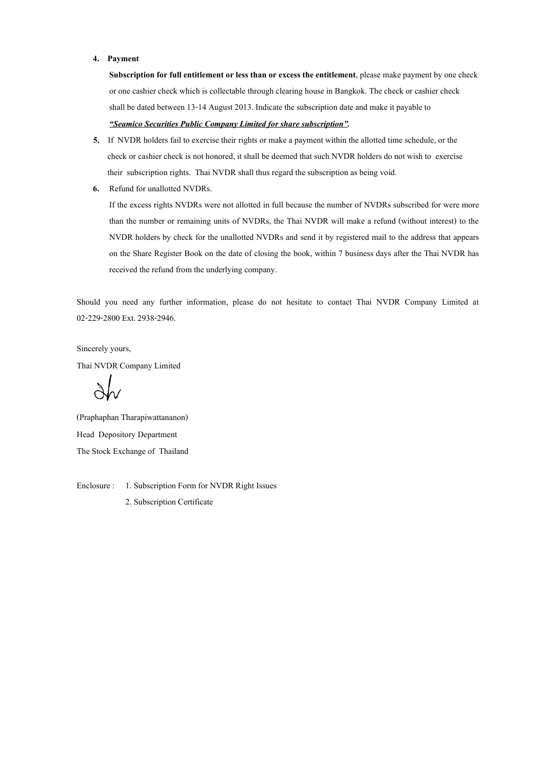#### **4. Payment**

**Subscription for full entitlement or less than or excess the entitlement**, please make payment by one check or one cashier check which is collectable through clearing house in Bangkok. The check or cashier check shall be dated between 13-14 August 2013. Indicate the subscription date and make it payable to *-Seamico Securities Public Company Limited for share subscription.* 

- **5.** If NVDR holders fail to exercise their rights or make a payment within the allotted time schedule, or the check or cashier check is not honored, it shall be deemed that such NVDR holders do not wish to exercise their subscription rights. Thai NVDR shall thus regard the subscription as being void.
- **6.** Refund for unallotted NVDRs.

If the excess rights NVDRs were not allotted in full because the number of NVDRs subscribed for were more than the number or remaining units of NVDRs, the Thai NVDR will make a refund (without interest) to the NVDR holders by check for the unallotted NVDRs and send it by registered mail to the address that appears on the Share Register Book on the date of closing the book, within 7 business days after the Thai NVDR has received the refund from the underlying company.

Should you need any further information, please do not hesitate to contact Thai NVDR Company Limited at 02-229-2800 Ext. 2938-2946.

Sincerely yours, Thai NVDR Company Limited

(Praphaphan Tharapiwattananon) Head Depository Department The Stock Exchange of Thailand

Enclosure : 1. Subscription Form for NVDR Right Issues 2. Subscription Certificate